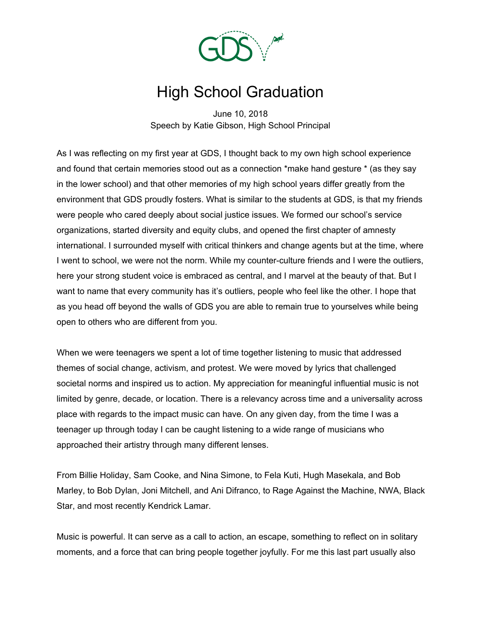

## High School Graduation

June 10, 2018 Speech by Katie Gibson, High School Principal

As I was reflecting on my first year at GDS, I thought back to my own high school experience and found that certain memories stood out as a connection \*make hand gesture \* (as they say in the lower school) and that other memories of my high school years differ greatly from the environment that GDS proudly fosters. What is similar to the students at GDS, is that my friends were people who cared deeply about social justice issues. We formed our school's service organizations, started diversity and equity clubs, and opened the first chapter of amnesty international. I surrounded myself with critical thinkers and change agents but at the time, where I went to school, we were not the norm. While my counter-culture friends and I were the outliers, here your strong student voice is embraced as central, and I marvel at the beauty of that. But I want to name that every community has it's outliers, people who feel like the other. I hope that as you head off beyond the walls of GDS you are able to remain true to yourselves while being open to others who are different from you.

When we were teenagers we spent a lot of time together listening to music that addressed themes of social change, activism, and protest. We were moved by lyrics that challenged societal norms and inspired us to action. My appreciation for meaningful influential music is not limited by genre, decade, or location. There is a relevancy across time and a universality across place with regards to the impact music can have. On any given day, from the time I was a teenager up through today I can be caught listening to a wide range of musicians who approached their artistry through many different lenses.

From Billie Holiday, Sam Cooke, and Nina Simone, to Fela Kuti, Hugh Masekala, and Bob Marley, to Bob Dylan, Joni Mitchell, and Ani Difranco, to Rage Against the Machine, NWA, Black Star, and most recently Kendrick Lamar.

Music is powerful. It can serve as a call to action, an escape, something to reflect on in solitary moments, and a force that can bring people together joyfully. For me this last part usually also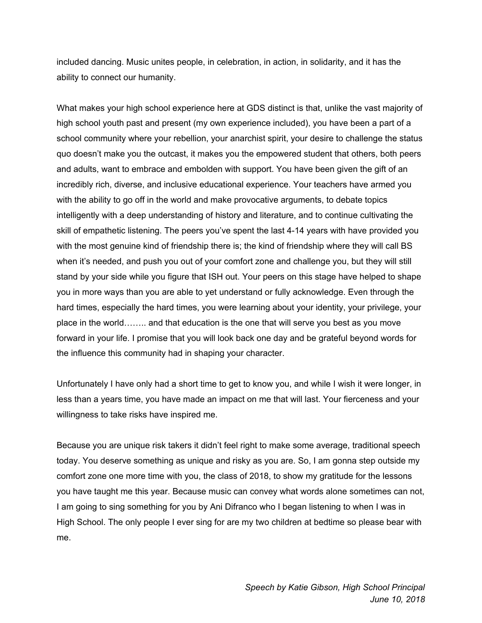included dancing. Music unites people, in celebration, in action, in solidarity, and it has the ability to connect our humanity.

What makes your high school experience here at GDS distinct is that, unlike the vast majority of high school youth past and present (my own experience included), you have been a part of a school community where your rebellion, your anarchist spirit, your desire to challenge the status quo doesn't make you the outcast, it makes you the empowered student that others, both peers and adults, want to embrace and embolden with support. You have been given the gift of an incredibly rich, diverse, and inclusive educational experience. Your teachers have armed you with the ability to go off in the world and make provocative arguments, to debate topics intelligently with a deep understanding of history and literature, and to continue cultivating the skill of empathetic listening. The peers you've spent the last 4-14 years with have provided you with the most genuine kind of friendship there is; the kind of friendship where they will call BS when it's needed, and push you out of your comfort zone and challenge you, but they will still stand by your side while you figure that ISH out. Your peers on this stage have helped to shape you in more ways than you are able to yet understand or fully acknowledge. Even through the hard times, especially the hard times, you were learning about your identity, your privilege, your place in the world…….. and that education is the one that will serve you best as you move forward in your life. I promise that you will look back one day and be grateful beyond words for the influence this community had in shaping your character.

Unfortunately I have only had a short time to get to know you, and while I wish it were longer, in less than a years time, you have made an impact on me that will last. Your fierceness and your willingness to take risks have inspired me.

Because you are unique risk takers it didn't feel right to make some average, traditional speech today. You deserve something as unique and risky as you are. So, I am gonna step outside my comfort zone one more time with you, the class of 2018, to show my gratitude for the lessons you have taught me this year. Because music can convey what words alone sometimes can not, I am going to sing something for you by Ani Difranco who I began listening to when I was in High School. The only people I ever sing for are my two children at bedtime so please bear with me.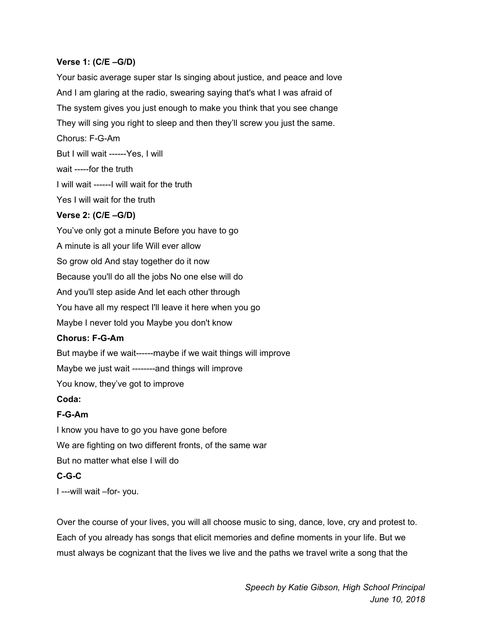## **Verse 1: (C/E –G/D)**

Your basic average super star Is singing about justice, and peace and love And I am glaring at the radio, swearing saying that's what I was afraid of The system gives you just enough to make you think that you see change They will sing you right to sleep and then they'll screw you just the same.

Chorus: F-G-Am

But I will wait ------Yes, I will

wait -----for the truth

I will wait ------I will wait for the truth

Yes I will wait for the truth

## **Verse 2: (C/E –G/D)**

You've only got a minute Before you have to go A minute is all your life Will ever allow So grow old And stay together do it now Because you'll do all the jobs No one else will do And you'll step aside And let each other through You have all my respect I'll leave it here when you go Maybe I never told you Maybe you don't know **Chorus: F-G-Am** But maybe if we wait------maybe if we wait things will improve Maybe we just wait --------and things will improve You know, they've got to improve

**Coda:**

## **F-G-Am**

I know you have to go you have gone before We are fighting on two different fronts, of the same war But no matter what else I will do **C-G-C**

I ---will wait –for- you.

Over the course of your lives, you will all choose music to sing, dance, love, cry and protest to. Each of you already has songs that elicit memories and define moments in your life. But we must always be cognizant that the lives we live and the paths we travel write a song that the